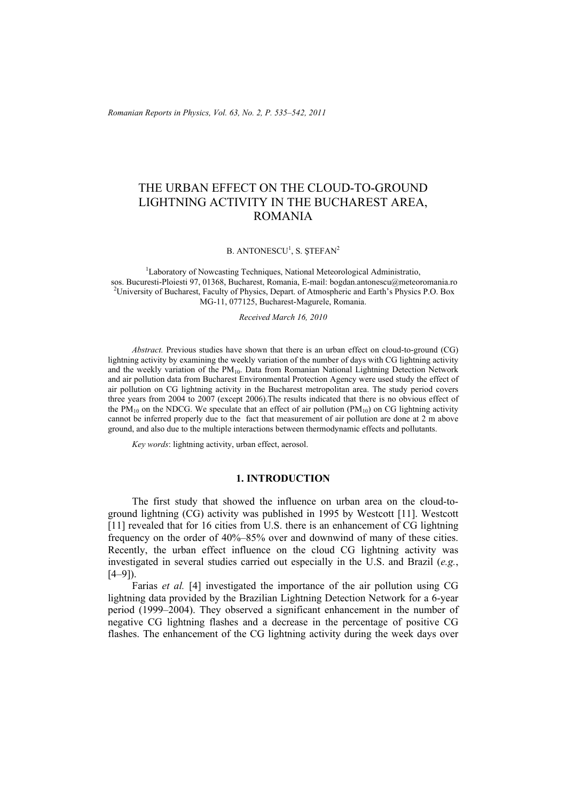*Romanian Reports in Physics, Vol. 63, No. 2, P. 535–542, 2011*

# THE URBAN EFFECT ON THE CLOUD-TO-GROUND LIGHTNING ACTIVITY IN THE BUCHAREST AREA, ROMANIA

B. ANTONESCU<sup>1</sup>, S. ȘTEFAN<sup>2</sup>

<sup>1</sup>Laboratory of Nowcasting Techniques, National Meteorological Administratio, sos. Bucuresti-Ploiesti 97, 01368, Bucharest, Romania, E-mail: bogdan.antonescu@meteoromania.ro <sup>2</sup>University of Bucharest, Faculty of Physics, Depart. of Atmospheric and Earth's Physics P.O. Box MG-11, 077125, Bucharest-Magurele, Romania.

*Received March 16, 2010* 

*Abstract.* Previous studies have shown that there is an urban effect on cloud-to-ground (CG) lightning activity by examining the weekly variation of the number of days with CG lightning activity and the weekly variation of the  $PM_{10}$ . Data from Romanian National Lightning Detection Network and air pollution data from Bucharest Environmental Protection Agency were used study the effect of air pollution on CG lightning activity in the Bucharest metropolitan area. The study period covers three years from 2004 to 2007 (except 2006).The results indicated that there is no obvious effect of the PM<sub>10</sub> on the NDCG. We speculate that an effect of air pollution  $(PM_{10})$  on CG lightning activity cannot be inferred properly due to the fact that measurement of air pollution are done at 2 m above ground, and also due to the multiple interactions between thermodynamic effects and pollutants.

*Key words*: lightning activity, urban effect, aerosol.

# **1. INTRODUCTION**

The first study that showed the influence on urban area on the cloud-toground lightning (CG) activity was published in 1995 by Westcott [11]. Westcott [11] revealed that for 16 cities from U.S. there is an enhancement of CG lightning frequency on the order of 40%–85% over and downwind of many of these cities. Recently, the urban effect influence on the cloud CG lightning activity was investigated in several studies carried out especially in the U.S. and Brazil (*e.g.*,  $[4-9]$ ).

Farias *et al.* [4] investigated the importance of the air pollution using CG lightning data provided by the Brazilian Lightning Detection Network for a 6-year period (1999–2004). They observed a significant enhancement in the number of negative CG lightning flashes and a decrease in the percentage of positive CG flashes. The enhancement of the CG lightning activity during the week days over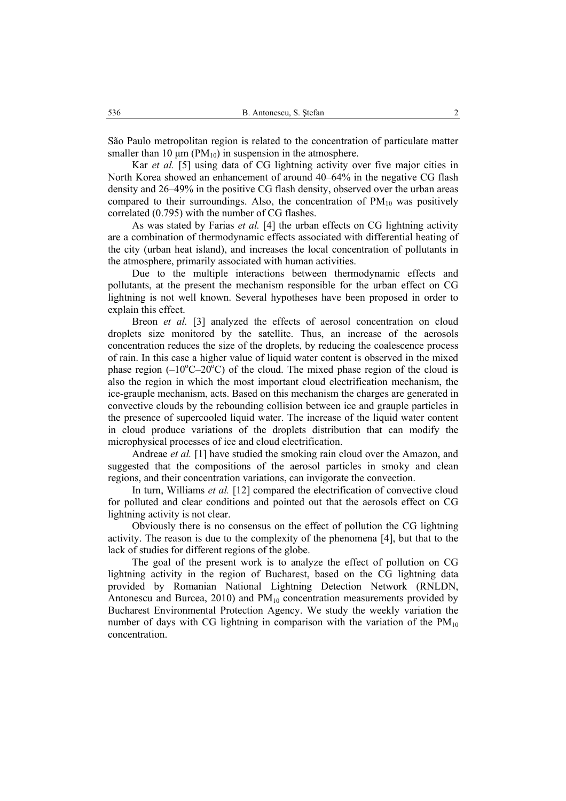São Paulo metropolitan region is related to the concentration of particulate matter smaller than 10  $\mu$ m (PM<sub>10</sub>) in suspension in the atmosphere.

Kar *et al.* [5] using data of CG lightning activity over five major cities in North Korea showed an enhancement of around 40–64% in the negative CG flash density and 26–49% in the positive CG flash density, observed over the urban areas compared to their surroundings. Also, the concentration of  $PM_{10}$  was positively correlated (0.795) with the number of CG flashes.

As was stated by Farias *et al.* [4] the urban effects on CG lightning activity are a combination of thermodynamic effects associated with differential heating of the city (urban heat island), and increases the local concentration of pollutants in the atmosphere, primarily associated with human activities.

Due to the multiple interactions between thermodynamic effects and pollutants, at the present the mechanism responsible for the urban effect on CG lightning is not well known. Several hypotheses have been proposed in order to explain this effect.

Breon *et al.* [3] analyzed the effects of aerosol concentration on cloud droplets size monitored by the satellite. Thus, an increase of the aerosols concentration reduces the size of the droplets, by reducing the coalescence process of rain. In this case a higher value of liquid water content is observed in the mixed phase region  $(-10^{\circ}C - 20^{\circ}C)$  of the cloud. The mixed phase region of the cloud is also the region in which the most important cloud electrification mechanism, the ice-grauple mechanism, acts. Based on this mechanism the charges are generated in convective clouds by the rebounding collision between ice and grauple particles in the presence of supercooled liquid water. The increase of the liquid water content in cloud produce variations of the droplets distribution that can modify the microphysical processes of ice and cloud electrification.

Andreae *et al.* [1] have studied the smoking rain cloud over the Amazon, and suggested that the compositions of the aerosol particles in smoky and clean regions, and their concentration variations, can invigorate the convection.

In turn, Williams *et al.* [12] compared the electrification of convective cloud for polluted and clear conditions and pointed out that the aerosols effect on CG lightning activity is not clear.

Obviously there is no consensus on the effect of pollution the CG lightning activity. The reason is due to the complexity of the phenomena [4], but that to the lack of studies for different regions of the globe.

The goal of the present work is to analyze the effect of pollution on CG lightning activity in the region of Bucharest, based on the CG lightning data provided by Romanian National Lightning Detection Network (RNLDN, Antonescu and Burcea,  $2010$ ) and  $PM_{10}$  concentration measurements provided by Bucharest Environmental Protection Agency. We study the weekly variation the number of days with CG lightning in comparison with the variation of the  $PM_{10}$ concentration.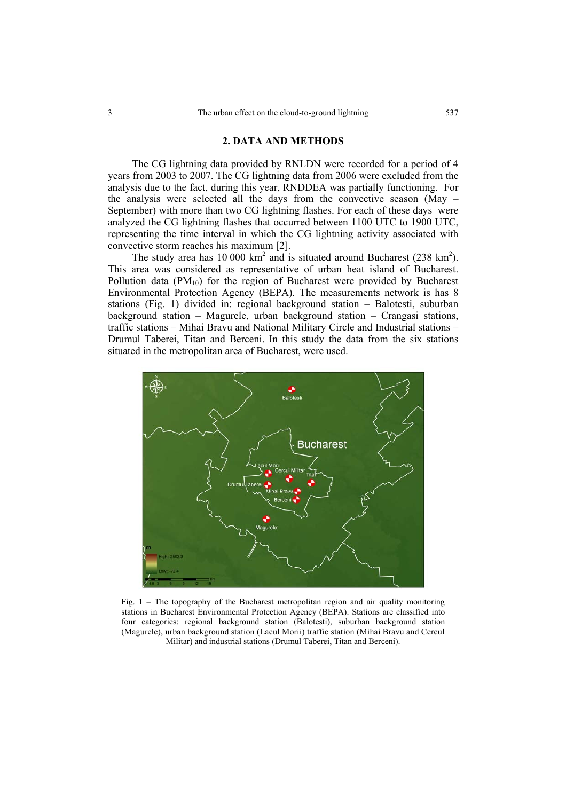### **2. DATA AND METHODS**

The CG lightning data provided by RNLDN were recorded for a period of 4 years from 2003 to 2007. The CG lightning data from 2006 were excluded from the analysis due to the fact, during this year, RNDDEA was partially functioning. For the analysis were selected all the days from the convective season (May – September) with more than two CG lightning flashes. For each of these days were analyzed the CG lightning flashes that occurred between 1100 UTC to 1900 UTC, representing the time interval in which the CG lightning activity associated with convective storm reaches his maximum [2].

The study area has 10 000  $km^2$  and is situated around Bucharest (238  $km^2$ ). This area was considered as representative of urban heat island of Bucharest. Pollution data  $(PM_{10})$  for the region of Bucharest were provided by Bucharest Environmental Protection Agency (BEPA). The measurements network is has 8 stations (Fig. 1) divided in: regional background station – Balotesti, suburban background station – Magurele, urban background station – Crangasi stations, traffic stations – Mihai Bravu and National Military Circle and Industrial stations – Drumul Taberei, Titan and Berceni. In this study the data from the six stations situated in the metropolitan area of Bucharest, were used.



Fig. 1 – The topography of the Bucharest metropolitan region and air quality monitoring stations in Bucharest Environmental Protection Agency (BEPA). Stations are classified into four categories: regional background station (Balotesti), suburban background station (Magurele), urban background station (Lacul Morii) traffic station (Mihai Bravu and Cercul Militar) and industrial stations (Drumul Taberei, Titan and Berceni).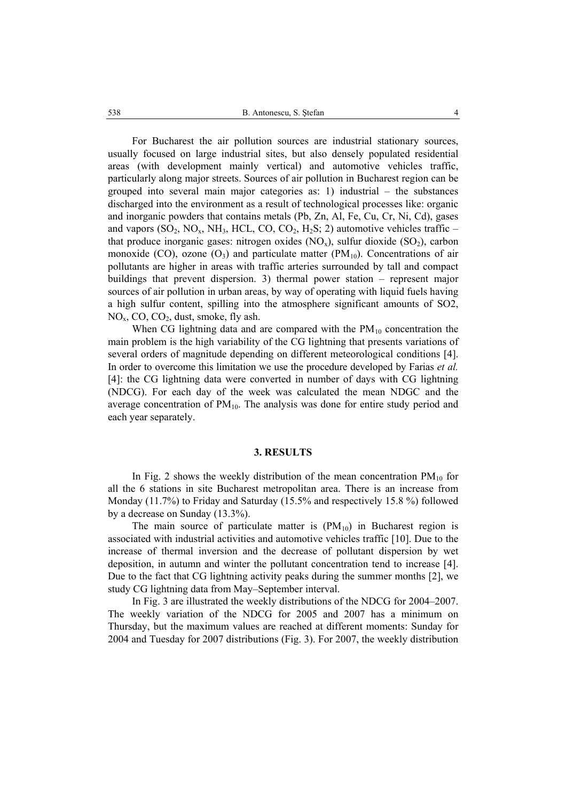For Bucharest the air pollution sources are industrial stationary sources, usually focused on large industrial sites, but also densely populated residential areas (with development mainly vertical) and automotive vehicles traffic, particularly along major streets. Sources of air pollution in Bucharest region can be grouped into several main major categories as: 1) industrial – the substances discharged into the environment as a result of technological processes like: organic and inorganic powders that contains metals (Pb, Zn, Al, Fe, Cu, Cr, Ni, Cd), gases and vapors  $(SO_2, NO_x, NH_3, HCL, CO, CO_2, H_2S; 2)$  automotive vehicles traffic – that produce inorganic gases: nitrogen oxides  $(NO<sub>x</sub>)$ , sulfur dioxide  $(SO<sub>2</sub>)$ , carbon monoxide (CO), ozone  $(O_3)$  and particulate matter (PM<sub>10</sub>). Concentrations of air pollutants are higher in areas with traffic arteries surrounded by tall and compact buildings that prevent dispersion. 3) thermal power station – represent major sources of air pollution in urban areas, by way of operating with liquid fuels having a high sulfur content, spilling into the atmosphere significant amounts of SO2,  $NO<sub>x</sub>, CO, CO<sub>2</sub>, dust, smoke, fly ash.$ 

When CG lightning data and are compared with the  $PM_{10}$  concentration the main problem is the high variability of the CG lightning that presents variations of several orders of magnitude depending on different meteorological conditions [4]. In order to overcome this limitation we use the procedure developed by Farias *et al.* [4]: the CG lightning data were converted in number of days with CG lightning (NDCG). For each day of the week was calculated the mean NDGC and the average concentration of  $PM_{10}$ . The analysis was done for entire study period and each year separately.

# **3. RESULTS**

In Fig. 2 shows the weekly distribution of the mean concentration  $PM_{10}$  for all the 6 stations in site Bucharest metropolitan area. There is an increase from Monday (11.7%) to Friday and Saturday (15.5% and respectively 15.8 %) followed by a decrease on Sunday (13.3%).

The main source of particulate matter is  $(PM_{10})$  in Bucharest region is associated with industrial activities and automotive vehicles traffic [10]. Due to the increase of thermal inversion and the decrease of pollutant dispersion by wet deposition, in autumn and winter the pollutant concentration tend to increase [4]. Due to the fact that CG lightning activity peaks during the summer months [2], we study CG lightning data from May–September interval.

In Fig. 3 are illustrated the weekly distributions of the NDCG for 2004–2007. The weekly variation of the NDCG for 2005 and 2007 has a minimum on Thursday, but the maximum values are reached at different moments: Sunday for 2004 and Tuesday for 2007 distributions (Fig. 3). For 2007, the weekly distribution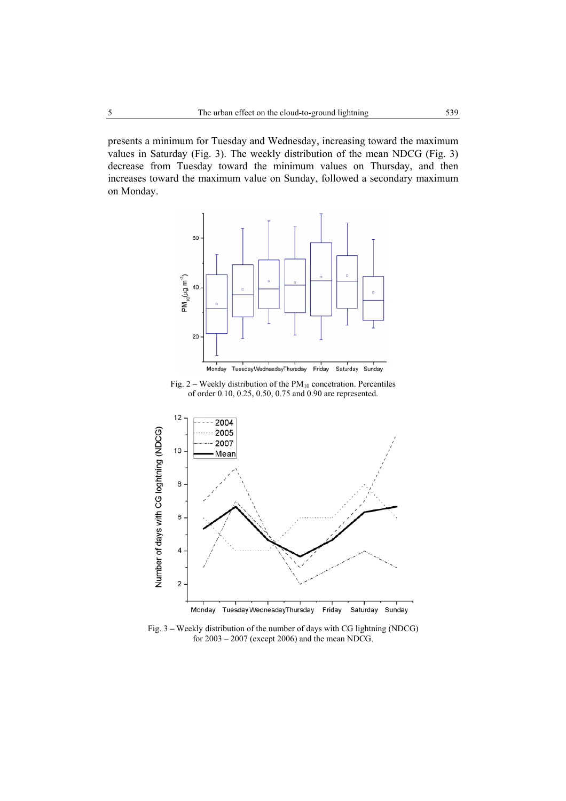presents a minimum for Tuesday and Wednesday, increasing toward the maximum values in Saturday (Fig. 3). The weekly distribution of the mean NDCG (Fig. 3) decrease from Tuesday toward the minimum values on Thursday, and then increases toward the maximum value on Sunday, followed a secondary maximum on Monday.



Fig.  $2$  – Weekly distribution of the  $PM_{10}$  concetration. Percentiles of order 0.10, 0.25, 0.50, 0.75 and 0.90 are represented.



Fig. 3 **–** Weekly distribution of the number of days with CG lightning (NDCG) for 2003 – 2007 (except 2006) and the mean NDCG.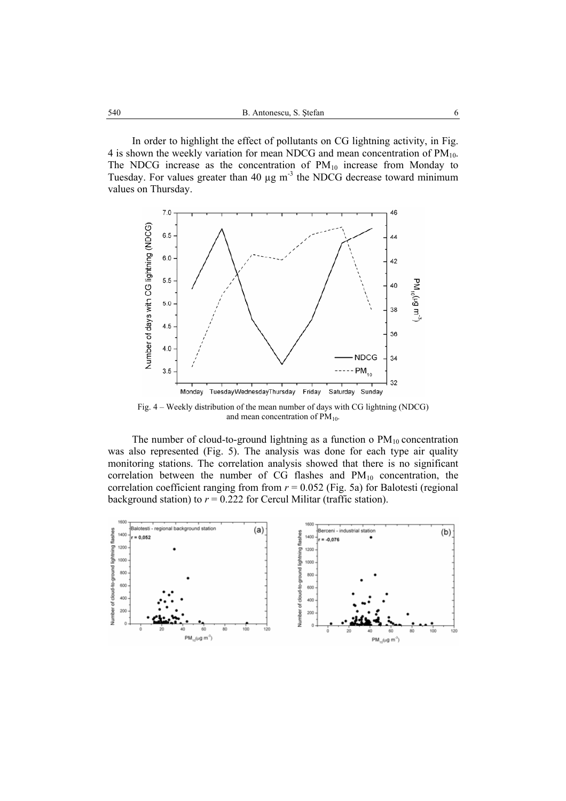In order to highlight the effect of pollutants on CG lightning activity, in Fig. 4 is shown the weekly variation for mean NDCG and mean concentration of  $PM_{10}$ . The NDCG increase as the concentration of  $PM_{10}$  increase from Monday to Tuesday. For values greater than 40  $\mu$ g m<sup>-3</sup> the NDCG decrease toward minimum values on Thursday.



Fig. 4 – Weekly distribution of the mean number of days with CG lightning (NDCG) and mean concentration of  $PM_{10}$ .

The number of cloud-to-ground lightning as a function o  $PM_{10}$  concentration was also represented (Fig. 5). The analysis was done for each type air quality monitoring stations. The correlation analysis showed that there is no significant correlation between the number of CG flashes and  $PM_{10}$  concentration, the correlation coefficient ranging from from  $r = 0.052$  (Fig. 5a) for Balotesti (regional background station) to  $r = 0.222$  for Cercul Militar (traffic station).

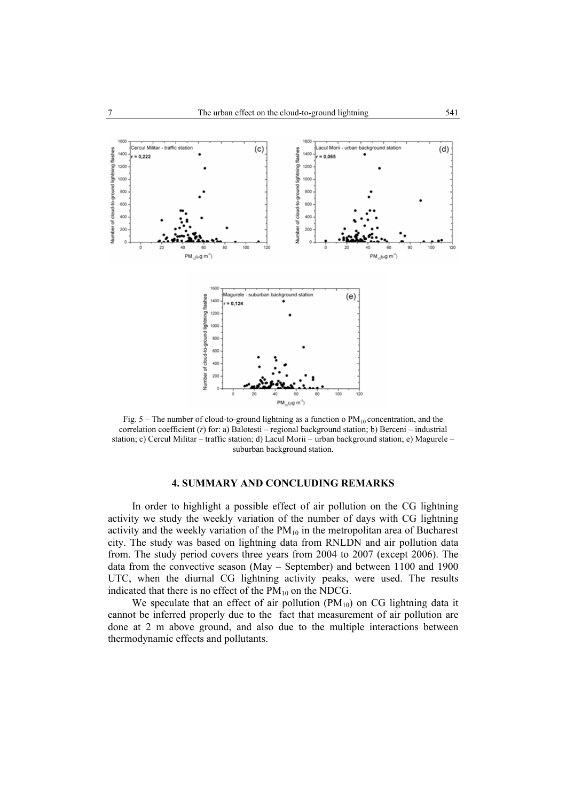

Fig.  $5$  – The number of cloud-to-ground lightning as a function o  $PM_{10}$  concentration, and the correlation coefficient (*r*) for: a) Balotesti – regional background station; b) Berceni – industrial station; c) Cercul Militar – traffic station; d) Lacul Morii – urban background station; e) Magurele – suburban background station.

# **4. SUMMARY AND CONCLUDING REMARKS**

In order to highlight a possible effect of air pollution on the CG lightning activity we study the weekly variation of the number of days with CG lightning activity and the weekly variation of the  $PM_{10}$  in the metropolitan area of Bucharest city. The study was based on lightning data from RNLDN and air pollution data from. The study period covers three years from 2004 to 2007 (except 2006). The data from the convective season (May – September) and between 1100 and 1900 UTC, when the diurnal CG lightning activity peaks, were used. The results indicated that there is no effect of the  $PM_{10}$  on the NDCG.

We speculate that an effect of air pollution  $(PM_{10})$  on CG lightning data it cannot be inferred properly due to the fact that measurement of air pollution are done at 2 m above ground, and also due to the multiple interactions between thermodynamic effects and pollutants.